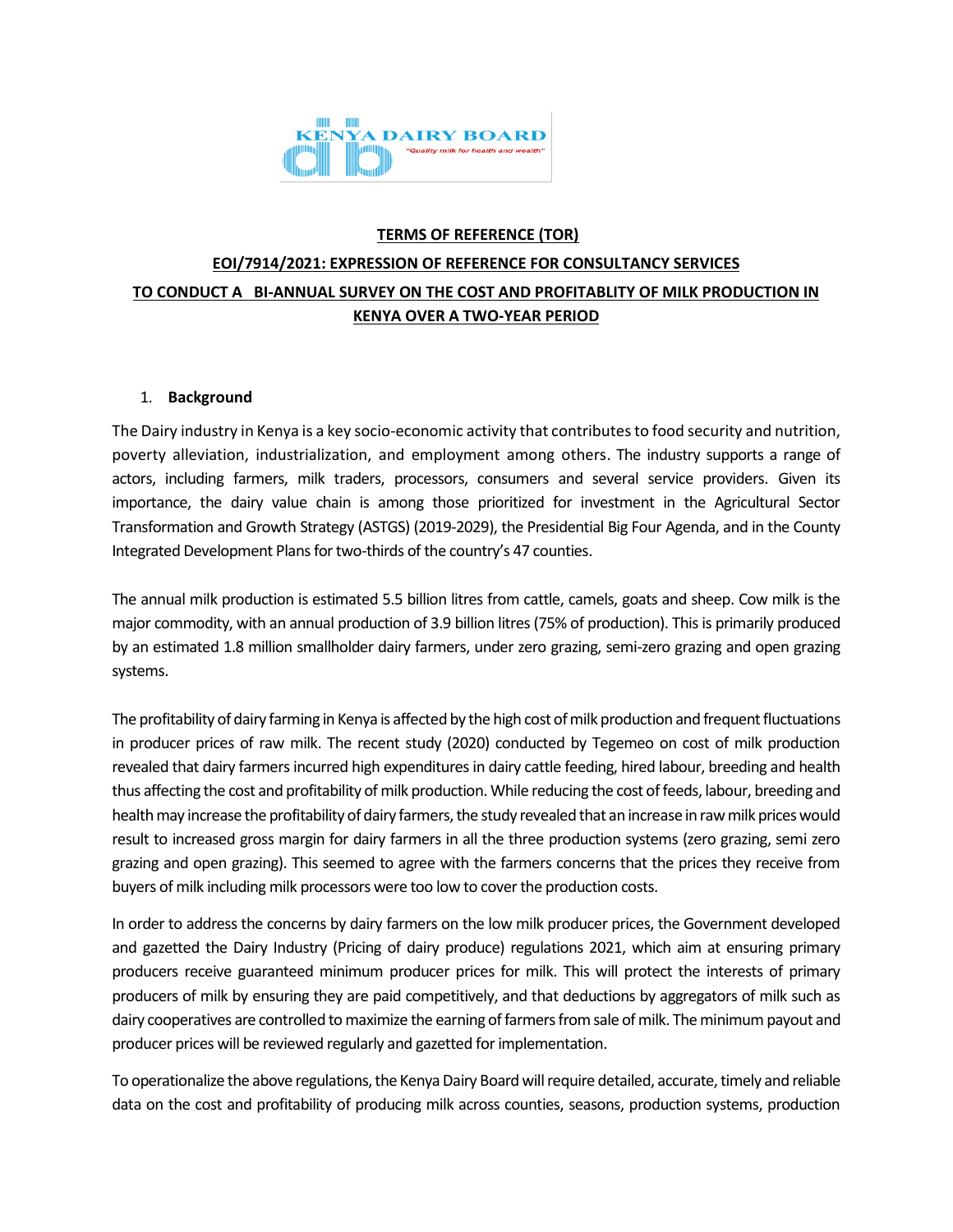

# **TERMS OF REFERENCE (TOR) EOI/7914/2021: EXPRESSION OF REFERENCE FOR CONSULTANCY SERVICES TO CONDUCT A BI-ANNUAL SURVEY ON THE COST AND PROFITABLITY OF MILK PRODUCTION IN KENYA OVER A TWO-YEAR PERIOD**

## 1. **Background**

The Dairy industry in Kenya is a key socio-economic activity that contributes to food security and nutrition, poverty alleviation, industrialization, and employment among others. The industry supports a range of actors, including farmers, milk traders, processors, consumers and several service providers. Given its importance, the dairy value chain is among those prioritized for investment in the Agricultural Sector Transformation and Growth Strategy (ASTGS) (2019-2029), the Presidential Big Four Agenda, and in the County Integrated Development Plans for two-thirds of the country's 47 counties.

The annual milk production is estimated 5.5 billion litres from cattle, camels, goats and sheep. Cow milk is the major commodity, with an annual production of 3.9 billion litres (75% of production). This is primarily produced by an estimated 1.8 million smallholder dairy farmers, under zero grazing, semi-zero grazing and open grazing systems.

The profitability of dairy farming in Kenya is affected by the high cost of milk production and frequent fluctuations in producer prices of raw milk. The recent study (2020) conducted by Tegemeo on cost of milk production revealed that dairy farmers incurred high expenditures in dairy cattle feeding, hired labour, breeding and health thus affecting the cost and profitability of milk production. While reducing the cost of feeds, labour, breeding and health may increase the profitability of dairy farmers, the study revealed that an increase in raw milk prices would result to increased gross margin for dairy farmers in all the three production systems (zero grazing, semi zero grazing and open grazing). This seemed to agree with the farmers concerns that the prices they receive from buyers of milk including milk processors were too low to cover the production costs.

In order to address the concerns by dairy farmers on the low milk producer prices, the Government developed and gazetted the Dairy Industry (Pricing of dairy produce) regulations 2021, which aim at ensuring primary producers receive guaranteed minimum producer prices for milk. This will protect the interests of primary producers of milk by ensuring they are paid competitively, and that deductions by aggregators of milk such as dairy cooperatives are controlled to maximize the earning of farmers from sale of milk. The minimum payout and producer prices will be reviewed regularly and gazetted for implementation.

To operationalize the above regulations, the Kenya Dairy Board will require detailed, accurate, timely and reliable data on the cost and profitability of producing milk across counties, seasons, production systems, production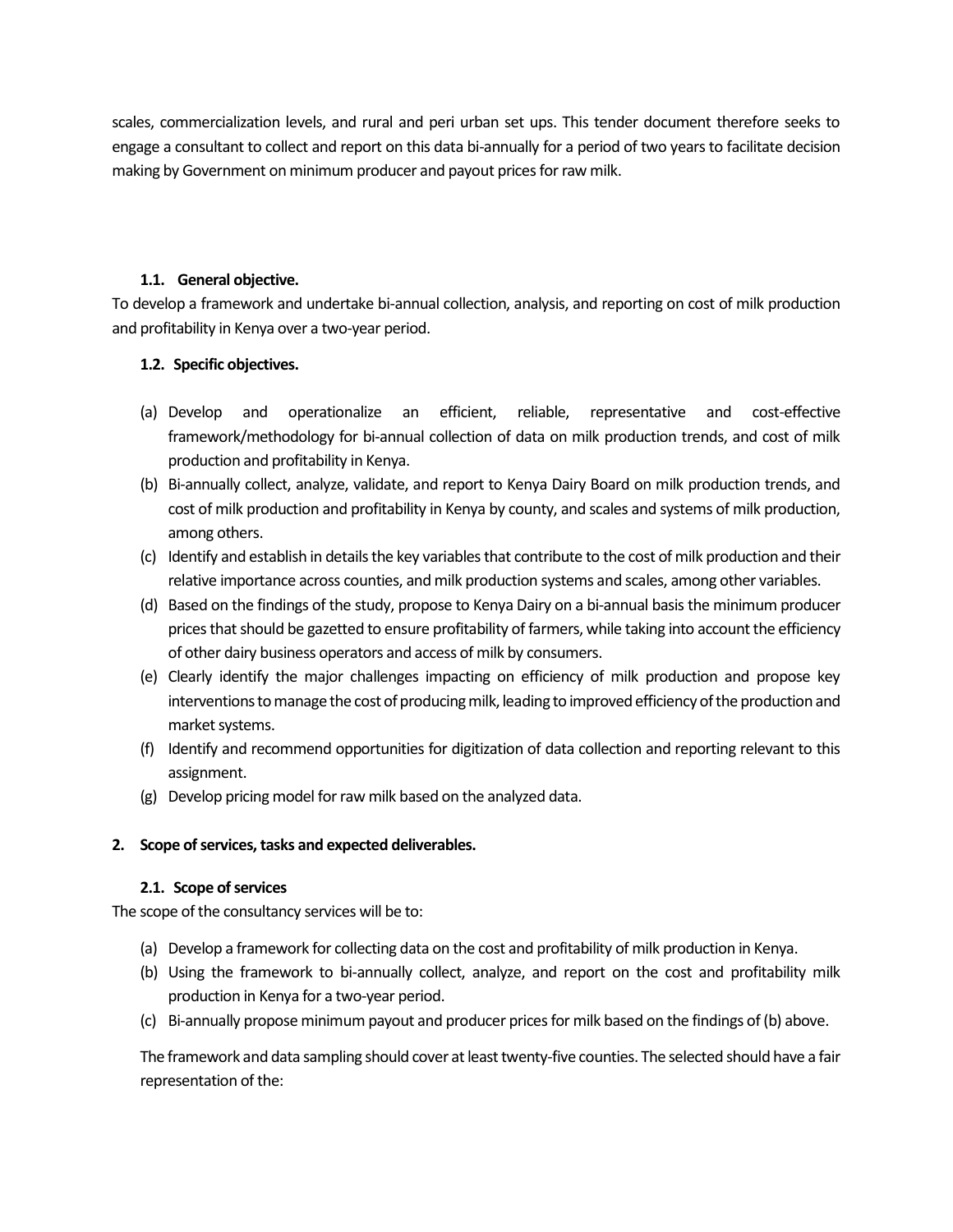scales, commercialization levels, and rural and peri urban set ups. This tender document therefore seeks to engage a consultant to collect and report on this data bi-annually for a period of two years to facilitate decision making by Government on minimum producer and payout prices for raw milk.

## **1.1. General objective.**

To develop a framework and undertake bi-annual collection, analysis, and reporting on cost of milk production and profitability in Kenya over a two-year period.

## **1.2. Specific objectives.**

- (a) Develop and operationalize an efficient, reliable, representative and cost-effective framework/methodology for bi-annual collection of data on milk production trends, and cost of milk production and profitability in Kenya.
- (b) Bi-annually collect, analyze, validate, and report to Kenya Dairy Board on milk production trends, and cost of milk production and profitability in Kenya by county, and scales and systems of milk production, among others.
- (c) Identify and establish in details the key variables that contribute to the cost of milk production and their relative importance across counties, and milk production systems and scales, among other variables.
- (d) Based on the findings of the study, propose to Kenya Dairy on a bi-annual basis the minimum producer prices that should be gazetted to ensure profitability of farmers, while taking into account the efficiency of other dairy business operators and access of milk by consumers.
- (e) Clearly identify the major challenges impacting on efficiency of milk production and propose key interventions to manage the cost of producing milk, leading to improved efficiency of the production and market systems.
- (f) Identify and recommend opportunities for digitization of data collection and reporting relevant to this assignment.
- (g) Develop pricing model for raw milk based on the analyzed data.

## **2. Scope of services, tasks and expected deliverables.**

## **2.1. Scope of services**

The scope of the consultancy services will be to:

- (a) Develop a framework for collecting data on the cost and profitability of milk production in Kenya.
- (b) Using the framework to bi-annually collect, analyze, and report on the cost and profitability milk production in Kenya for a two-year period.
- (c) Bi-annually propose minimum payout and producer prices for milk based on the findings of (b) above.

The framework and data sampling should cover at least twenty-five counties. The selected should have a fair representation of the: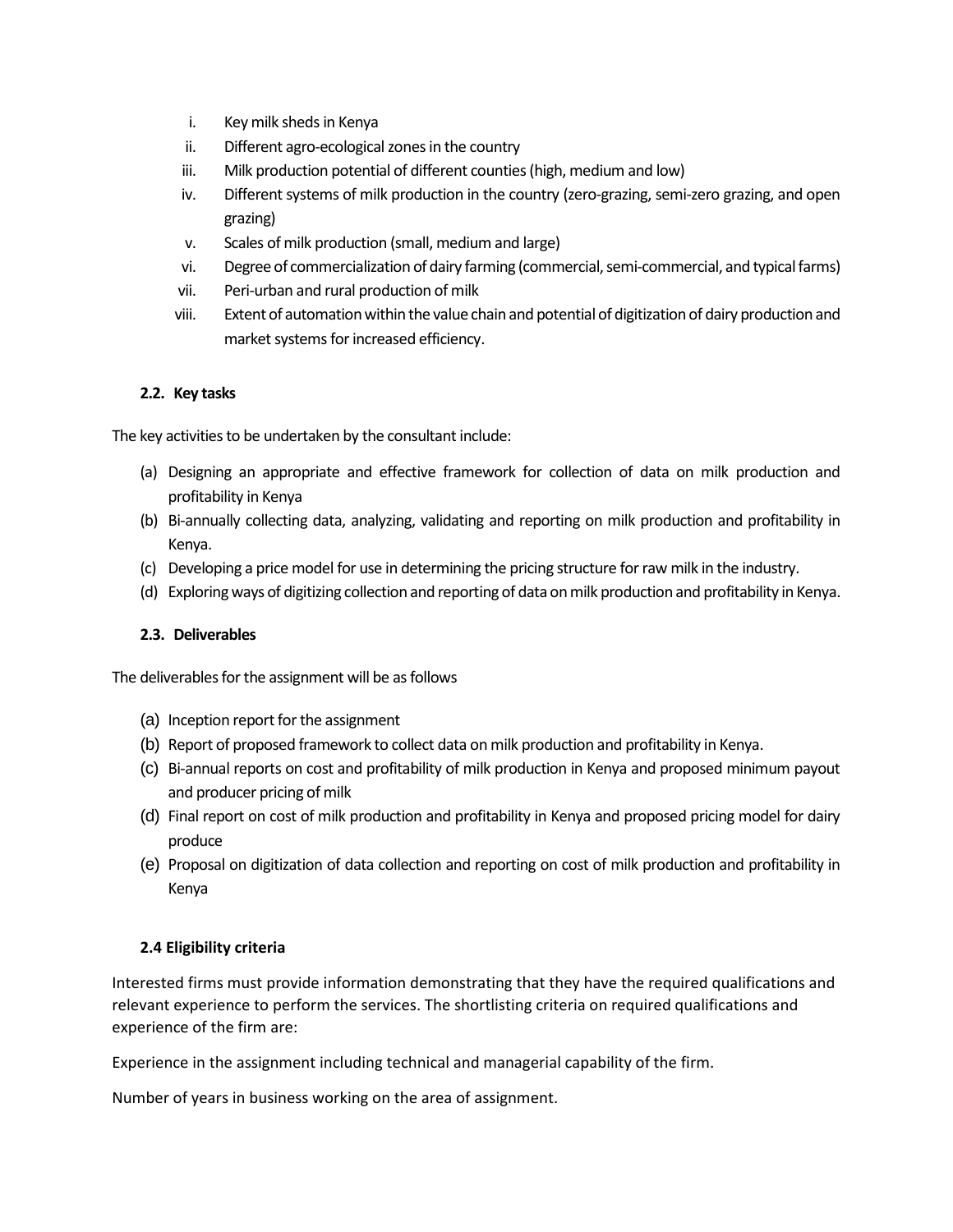- i. Key milk sheds in Kenya
- ii. Different agro-ecological zones in the country
- iii. Milk production potential of different counties (high, medium and low)
- iv. Different systems of milk production in the country (zero-grazing, semi-zero grazing, and open grazing)
- v. Scales of milk production (small, medium and large)
- vi. Degree of commercialization of dairy farming (commercial, semi-commercial, and typical farms)
- vii. Peri-urban and rural production of milk
- viii. Extent of automation within the value chain and potential of digitization of dairy production and market systems for increased efficiency.

# **2.2. Key tasks**

The key activities to be undertaken by the consultant include:

- (a) Designing an appropriate and effective framework for collection of data on milk production and profitability in Kenya
- (b) Bi-annually collecting data, analyzing, validating and reporting on milk production and profitability in Kenya.
- (c) Developing a price model for use in determining the pricing structure for raw milk in the industry.
- (d) Exploring ways of digitizing collection and reporting of data on milk production and profitability in Kenya.

# **2.3. Deliverables**

The deliverables for the assignment will be as follows

- (a) Inception report for the assignment
- (b) Report of proposed framework to collect data on milk production and profitability in Kenya.
- (c) Bi-annual reports on cost and profitability of milk production in Kenya and proposed minimum payout and producer pricing of milk
- (d) Final report on cost of milk production and profitability in Kenya and proposed pricing model for dairy produce
- (e) Proposal on digitization of data collection and reporting on cost of milk production and profitability in Kenya

# **2.4 Eligibility criteria**

Interested firms must provide information demonstrating that they have the required qualifications and relevant experience to perform the services. The shortlisting criteria on required qualifications and experience of the firm are:

Experience in the assignment including technical and managerial capability of the firm.

Number of years in business working on the area of assignment.